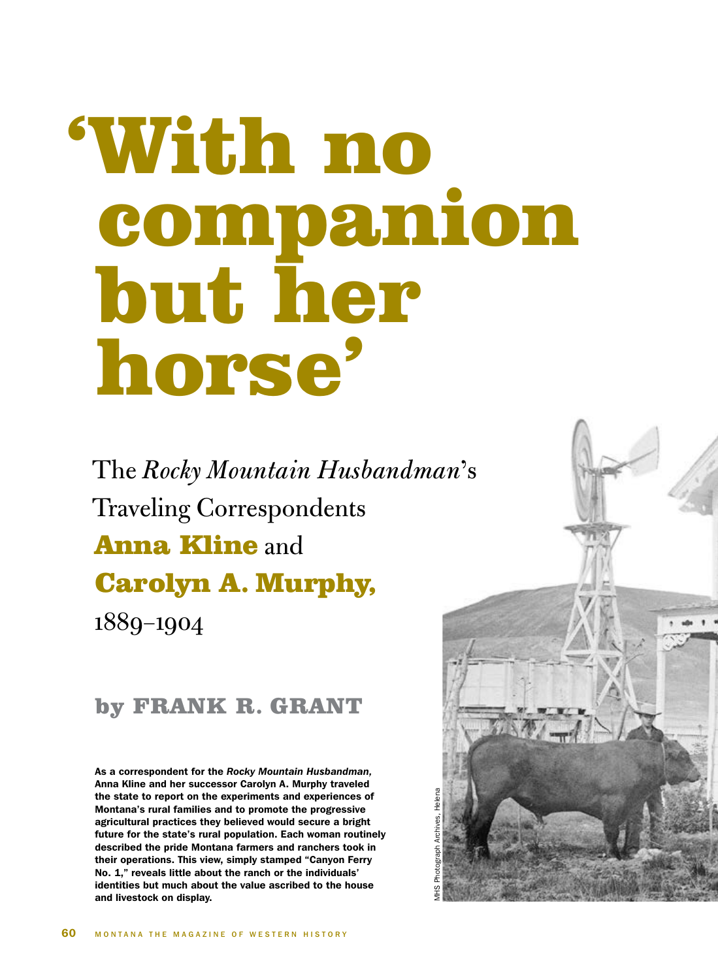## 'With no companion but her horse'

The *Rocky Mountain Husbandman*'s Traveling Correspondents Anna Kline and Carolyn A. Murphy, 1889–1904

## by FRANK R. GRANT

As a correspondent for the *Rocky Mountain Husbandman,*  Anna Kline and her successor Carolyn A. Murphy traveled the state to report on the experiments and experiences of Montana's rural families and to promote the progressive agricultural practices they believed would secure a bright future for the state's rural population. Each woman routinely described the pride Montana farmers and ranchers took in their operations. This view, simply stamped "Canyon Ferry No. 1," reveals little about the ranch or the individuals' identities but much about the value ascribed to the house and livestock on display.

MHS Photograph Archives, Helena

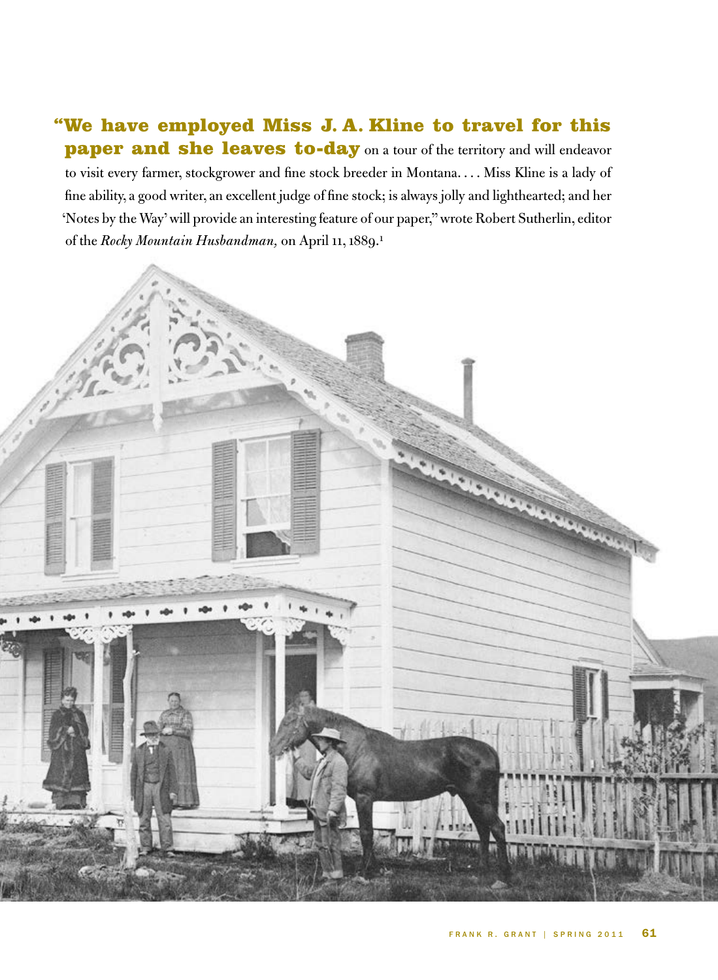## "We have employed Miss J. A. Kline to travel for this paper and she leaves to-day on a tour of the territory and will endeavor to visit every farmer, stockgrower and fine stock breeder in Montana. . . . Miss Kline is a lady of fine ability, a good writer, an excellent judge of fine stock; is always jolly and lighthearted; and her 'Notes by the Way' will provide an interesting feature of our paper," wrote Robert Sutherlin, editor of the *Rocky Mountain Husbandman,* on April 11, 1889.1



فلعك

**March Charles Company Company Company Company Company Company Company Company Company Company Company Company**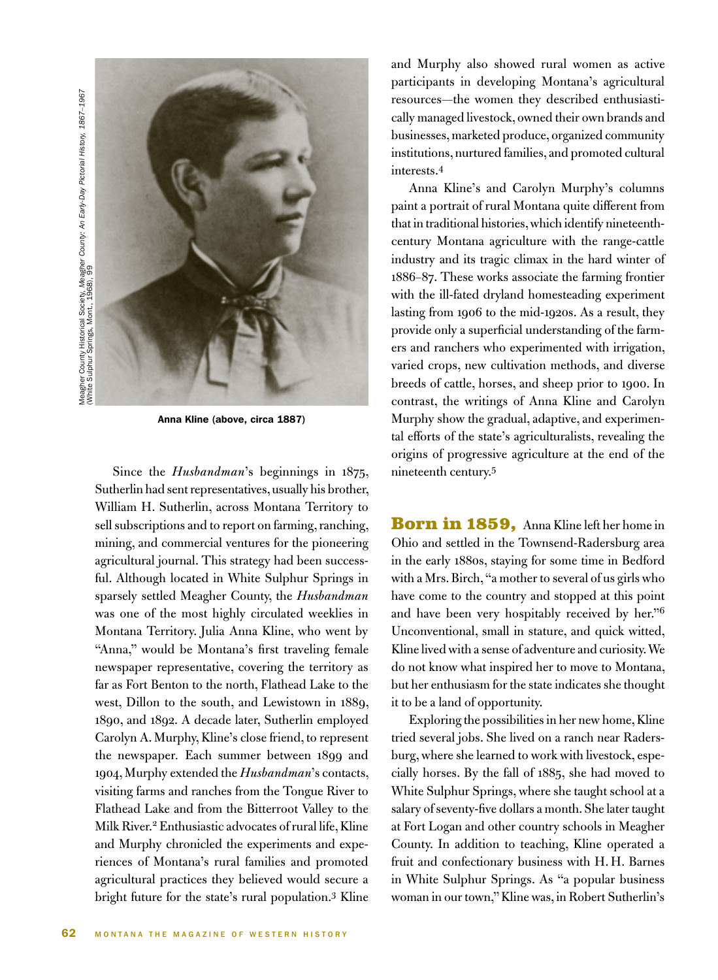Meagher County Historical Society, Meagher *County: An Early-Day Pictorial History, 1867-19*67<br>(White Sulphur Springs, Mont., 1968), 99 Meagher County Historical Society, *Meagher County: An Early-Day Pictorial History, 1867–1967* (White Sulphur Springs, Mont., 1968), 99



Anna Kline (above, circa 1887)

Since the *Husbandman*'s beginnings in 1875, Sutherlin had sent representatives, usually his brother, William H. Sutherlin, across Montana Territory to sell subscriptions and to report on farming, ranching, mining, and commercial ventures for the pioneering agricultural journal. This strategy had been successful. Although located in White Sulphur Springs in sparsely settled Meagher County, the *Husbandman* was one of the most highly circulated weeklies in Montana Territory. Julia Anna Kline, who went by "Anna," would be Montana's first traveling female newspaper representative, covering the territory as far as Fort Benton to the north, Flathead Lake to the west, Dillon to the south, and Lewistown in 1889, 1890, and 1892. A decade later, Sutherlin employed Carolyn A. Murphy, Kline's close friend, to represent the newspaper*.* Each summer between 1899 and 1904, Murphy extended the *Husbandman*'s contacts, visiting farms and ranches from the Tongue River to Flathead Lake and from the Bitterroot Valley to the Milk River.2 Enthusiastic advocates of rural life, Kline and Murphy chronicled the experiments and experiences of Montana's rural families and promoted agricultural practices they believed would secure a bright future for the state's rural population.3 Kline

and Murphy also showed rural women as active participants in developing Montana's agricultural resources—the women they described enthusiastically managed livestock, owned their own brands and businesses, marketed produce, organized community institutions, nurtured families, and promoted cultural interests.4

Anna Kline's and Carolyn Murphy's columns paint a portrait of rural Montana quite different from that in traditional histories, which identify nineteenthcentury Montana agriculture with the range-cattle industry and its tragic climax in the hard winter of 1886–87. These works associate the farming frontier with the ill-fated dryland homesteading experiment lasting from 1906 to the mid-1920s. As a result, they provide only a superficial understanding of the farmers and ranchers who experimented with irrigation, varied crops, new cultivation methods, and diverse breeds of cattle, horses, and sheep prior to 1900. In contrast, the writings of Anna Kline and Carolyn Murphy show the gradual, adaptive, and experimental efforts of the state's agriculturalists, revealing the origins of progressive agriculture at the end of the nineteenth century.<sup>5</sup>

Born in 1859, Anna Kline left her home in Ohio and settled in the Townsend-Radersburg area in the early 1880s, staying for some time in Bedford with a Mrs. Birch, "a mother to several of us girls who have come to the country and stopped at this point and have been very hospitably received by her."<sup>6</sup> Unconventional, small in stature, and quick witted, Kline lived with a sense of adventure and curiosity. We do not know what inspired her to move to Montana, but her enthusiasm for the state indicates she thought it to be a land of opportunity.

Exploring the possibilities in her new home, Kline tried several jobs. She lived on a ranch near Radersburg, where she learned to work with livestock, especially horses. By the fall of 1885, she had moved to White Sulphur Springs, where she taught school at a salary of seventy-five dollars a month. She later taught at Fort Logan and other country schools in Meagher County. In addition to teaching, Kline operated a fruit and confectionary business with H. H. Barnes in White Sulphur Springs. As "a popular business woman in our town," Kline was, in Robert Sutherlin's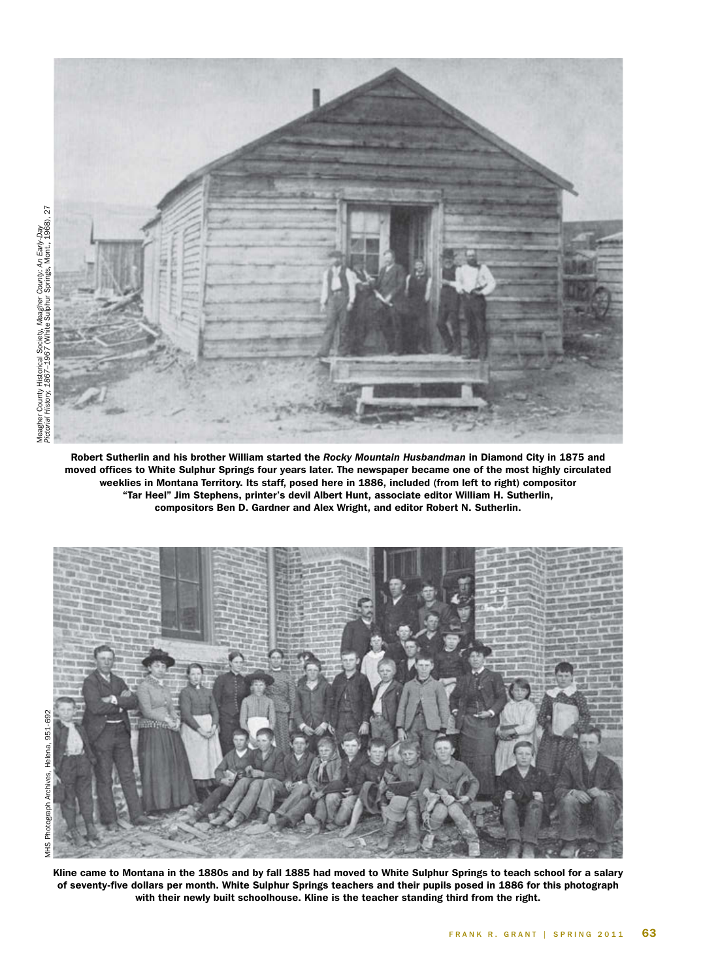

Robert Sutherlin and his brother William started the *Rocky Mountain Husbandman* in Diamond City in 1875 and moved offices to White Sulphur Springs four years later. The newspaper became one of the most highly circulated weeklies in Montana Territory. Its staff, posed here in 1886, included (from left to right) compositor "Tar Heel" Jim Stephens, printer's devil Albert Hunt, associate editor William H. Sutherlin, compositors Ben D. Gardner and Alex Wright, and editor Robert N. Sutherlin.



FRANK R. GRANT | SPRING 2011 63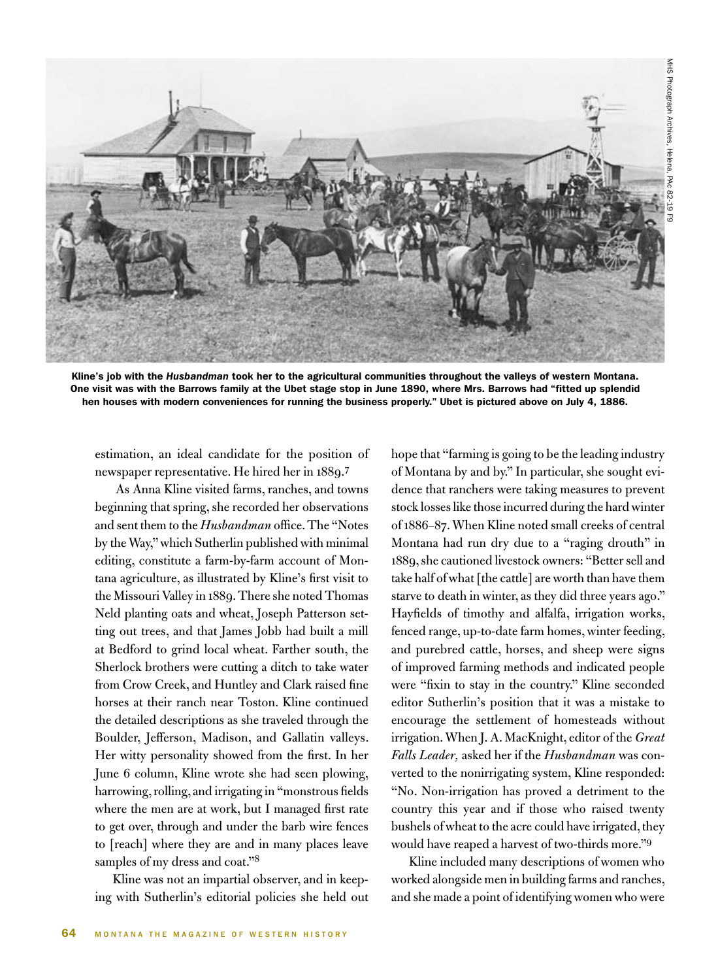

Kline's job with the *Husbandman* took her to the agricultural communities throughout the valleys of western Montana. One visit was with the Barrows family at the Ubet stage stop in June 1890, where Mrs. Barrows had "fitted up splendid hen houses with modern conveniences for running the business properly." Ubet is pictured above on July 4, 1886.

estimation, an ideal candidate for the position of newspaper representative. He hired her in 1889.7

As Anna Kline visited farms, ranches, and towns beginning that spring, she recorded her observations and sent them to the *Husbandman* office. The "Notes by the Way," which Sutherlin published with minimal editing, constitute a farm-by-farm account of Montana agriculture, as illustrated by Kline's first visit to the Missouri Valley in 1889. There she noted Thomas Neld planting oats and wheat, Joseph Patterson setting out trees, and that James Jobb had built a mill at Bedford to grind local wheat. Farther south, the Sherlock brothers were cutting a ditch to take water from Crow Creek, and Huntley and Clark raised fine horses at their ranch near Toston. Kline continued the detailed descriptions as she traveled through the Boulder, Jefferson, Madison, and Gallatin valleys. Her witty personality showed from the first. In her June 6 column, Kline wrote she had seen plowing, harrowing, rolling, and irrigating in "monstrous fields where the men are at work, but I managed first rate to get over, through and under the barb wire fences to [reach] where they are and in many places leave samples of my dress and coat."<sup>8</sup>

Kline was not an impartial observer, and in keeping with Sutherlin's editorial policies she held out hope that "farming is going to be the leading industry of Montana by and by." In particular, she sought evidence that ranchers were taking measures to prevent stock losses like those incurred during the hard winter of 1886–87. When Kline noted small creeks of central Montana had run dry due to a "raging drouth" in 1889, she cautioned livestock owners: "Better sell and take half of what [the cattle] are worth than have them starve to death in winter, as they did three years ago." Hayfields of timothy and alfalfa, irrigation works, fenced range, up-to-date farm homes, winter feeding, and purebred cattle, horses, and sheep were signs of improved farming methods and indicated people were "fixin to stay in the country." Kline seconded editor Sutherlin's position that it was a mistake to encourage the settlement of homesteads without irrigation. When J. A. MacKnight, editor of the *Great Falls Leader,* asked her if the *Husbandman* was converted to the nonirrigating system, Kline responded: "No. Non-irrigation has proved a detriment to the country this year and if those who raised twenty bushels of wheat to the acre could have irrigated, they would have reaped a harvest of two-thirds more."9

Kline included many descriptions of women who worked alongside men in building farms and ranches, and she made a point of identifying women who were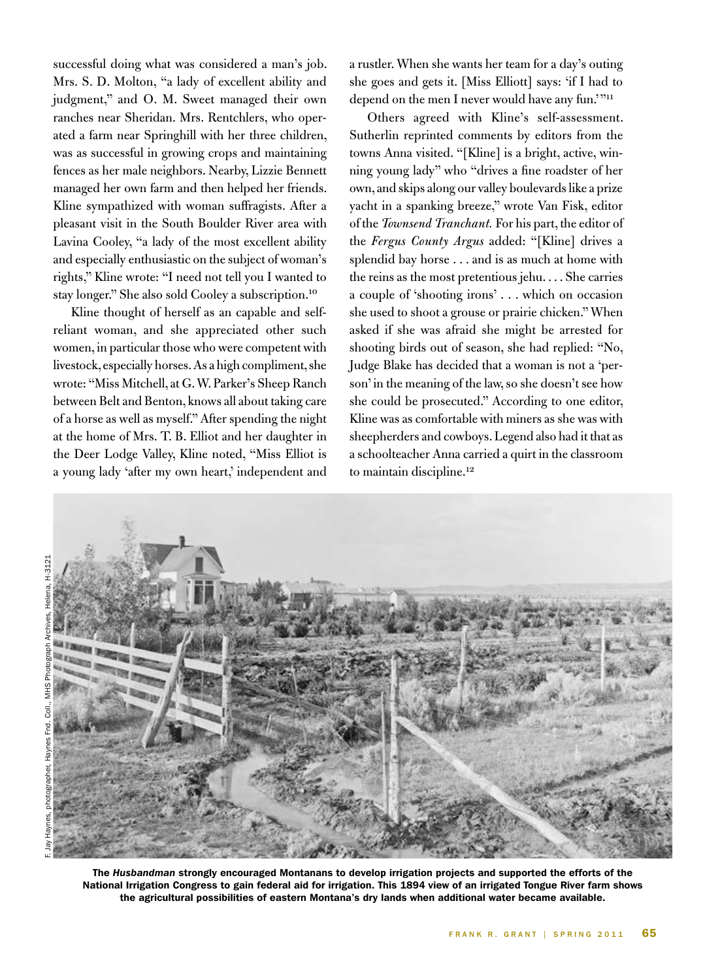successful doing what was considered a man's job. Mrs. S. D. Molton, "a lady of excellent ability and judgment," and O. M. Sweet managed their own ranches near Sheridan. Mrs. Rentchlers, who operated a farm near Springhill with her three children, was as successful in growing crops and maintaining fences as her male neighbors. Nearby, Lizzie Bennett managed her own farm and then helped her friends. Kline sympathized with woman suffragists. After a pleasant visit in the South Boulder River area with Lavina Cooley, "a lady of the most excellent ability and especially enthusiastic on the subject of woman's rights," Kline wrote: "I need not tell you I wanted to stay longer." She also sold Cooley a subscription.10

Kline thought of herself as an capable and selfreliant woman, and she appreciated other such women, in particular those who were competent with livestock, especially horses. As a high compliment, she wrote: "Miss Mitchell, at G. W. Parker's Sheep Ranch between Belt and Benton, knows all about taking care of a horse as well as myself." After spending the night at the home of Mrs. T. B. Elliot and her daughter in the Deer Lodge Valley, Kline noted, "Miss Elliot is a young lady 'after my own heart,' independent and a rustler. When she wants her team for a day's outing she goes and gets it. [Miss Elliott] says: 'if I had to depend on the men I never would have any fun."<sup>111</sup>

Others agreed with Kline's self-assessment. Sutherlin reprinted comments by editors from the towns Anna visited. "[Kline] is a bright, active, winning young lady" who "drives a fine roadster of her own, and skips along our valley boulevards like a prize yacht in a spanking breeze," wrote Van Fisk, editor of the *Townsend Tranchant.* For his part, the editor of the *Fergus County Argus* added: "[Kline] drives a splendid bay horse . . . and is as much at home with the reins as the most pretentious jehu. . . . She carries a couple of 'shooting irons' . . . which on occasion she used to shoot a grouse or prairie chicken." When asked if she was afraid she might be arrested for shooting birds out of season, she had replied: "No, Judge Blake has decided that a woman is not a 'person' in the meaning of the law, so she doesn't see how she could be prosecuted." According to one editor, Kline was as comfortable with miners as she was with sheepherders and cowboys. Legend also had it that as a schoolteacher Anna carried a quirt in the classroom to maintain discipline.<sup>12</sup>



The *Husbandman* strongly encouraged Montanans to develop irrigation projects and supported the efforts of the National Irrigation Congress to gain federal aid for irrigation. This 1894 view of an irrigated Tongue River farm shows the agricultural possibilities of eastern Montana's dry lands when additional water became available.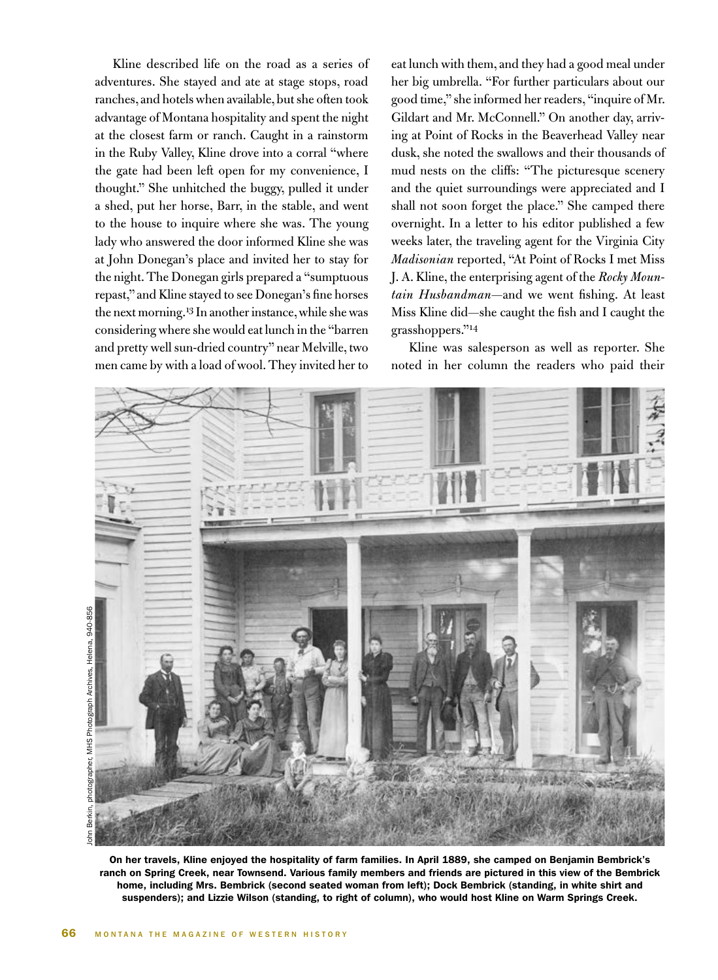Kline described life on the road as a series of adventures. She stayed and ate at stage stops, road ranches, and hotels when available, but she often took advantage of Montana hospitality and spent the night at the closest farm or ranch. Caught in a rainstorm in the Ruby Valley, Kline drove into a corral "where the gate had been left open for my convenience, I thought." She unhitched the buggy, pulled it under a shed, put her horse, Barr, in the stable, and went to the house to inquire where she was. The young lady who answered the door informed Kline she was at John Donegan's place and invited her to stay for the night. The Donegan girls prepared a "sumptuous repast," and Kline stayed to see Donegan's fine horses the next morning.<sup>13</sup> In another instance, while she was considering where she would eat lunch in the "barren and pretty well sun-dried country" near Melville, two men came by with a load of wool. They invited her to

eat lunch with them, and they had a good meal under her big umbrella. "For further particulars about our good time," she informed her readers, "inquire of Mr. Gildart and Mr. McConnell." On another day, arriving at Point of Rocks in the Beaverhead Valley near dusk, she noted the swallows and their thousands of mud nests on the cliffs: "The picturesque scenery and the quiet surroundings were appreciated and I shall not soon forget the place." She camped there overnight. In a letter to his editor published a few weeks later, the traveling agent for the Virginia City *Madisonian* reported, "At Point of Rocks I met Miss J. A. Kline, the enterprising agent of the *Rocky Mountain Husbandman*—and we went fishing. At least Miss Kline did—she caught the fish and I caught the grasshoppers."14

Kline was salesperson as well as reporter. She noted in her column the readers who paid their



On her travels, Kline enjoyed the hospitality of farm families. In April 1889, she camped on Benjamin Bembrick's ranch on Spring Creek, near Townsend. Various family members and friends are pictured in this view of the Bembrick home, including Mrs. Bembrick (second seated woman from left); Dock Bembrick (standing, in white shirt and suspenders); and Lizzie Wilson (standing, to right of column), who would host Kline on Warm Springs Creek.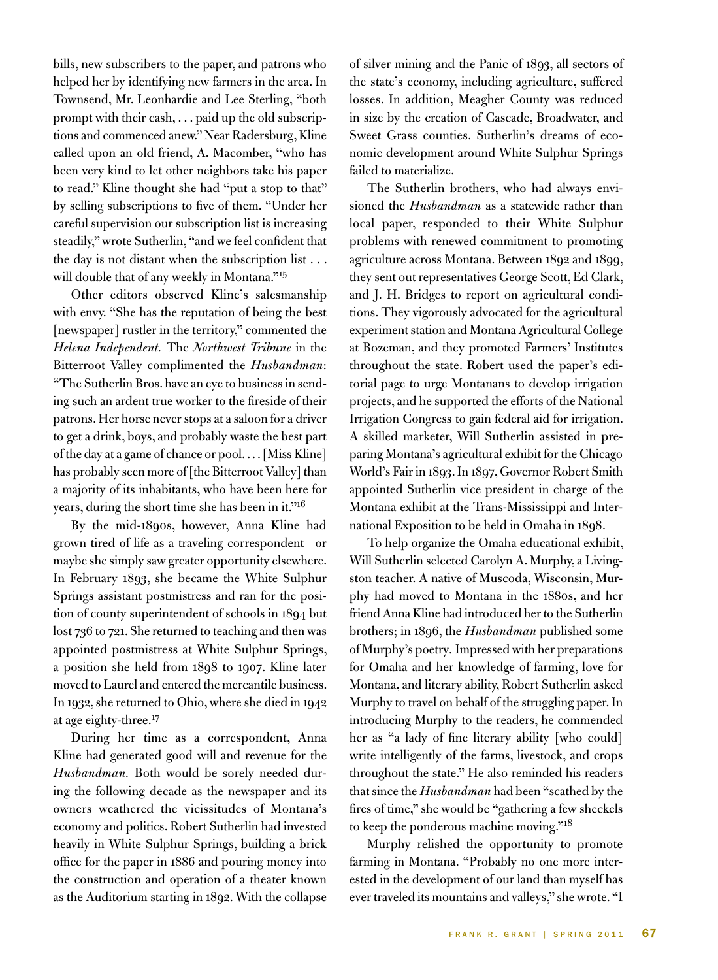bills, new subscribers to the paper, and patrons who helped her by identifying new farmers in the area. In Townsend, Mr. Leonhardie and Lee Sterling, "both prompt with their cash, . . . paid up the old subscriptions and commenced anew." Near Radersburg, Kline called upon an old friend, A. Macomber, "who has been very kind to let other neighbors take his paper to read." Kline thought she had "put a stop to that" by selling subscriptions to five of them. "Under her careful supervision our subscription list is increasing steadily," wrote Sutherlin, "and we feel confident that the day is not distant when the subscription list . . . will double that of any weekly in Montana."15

Other editors observed Kline's salesmanship with envy. "She has the reputation of being the best [newspaper] rustler in the territory," commented the *Helena Independent.* The *Northwest Tribune* in the Bitterroot Valley complimented the *Husbandman*: "The Sutherlin Bros. have an eye to business in sending such an ardent true worker to the fireside of their patrons. Her horse never stops at a saloon for a driver to get a drink, boys, and probably waste the best part of the day at a game of chance or pool. . . . [Miss Kline] has probably seen more of [the Bitterroot Valley] than a majority of its inhabitants, who have been here for years, during the short time she has been in it."16

By the mid-1890s, however, Anna Kline had grown tired of life as a traveling correspondent—or maybe she simply saw greater opportunity elsewhere. In February 1893, she became the White Sulphur Springs assistant postmistress and ran for the position of county superintendent of schools in 1894 but lost 736 to 721. She returned to teaching and then was appointed postmistress at White Sulphur Springs, a position she held from 1898 to 1907. Kline later moved to Laurel and entered the mercantile business. In 1932, she returned to Ohio, where she died in 1942 at age eighty-three.<sup>17</sup>

During her time as a correspondent, Anna Kline had generated good will and revenue for the *Husbandman.* Both would be sorely needed during the following decade as the newspaper and its owners weathered the vicissitudes of Montana's economy and politics. Robert Sutherlin had invested heavily in White Sulphur Springs, building a brick office for the paper in 1886 and pouring money into the construction and operation of a theater known as the Auditorium starting in 1892. With the collapse of silver mining and the Panic of 1893, all sectors of the state's economy, including agriculture, suffered losses. In addition, Meagher County was reduced in size by the creation of Cascade, Broadwater, and Sweet Grass counties. Sutherlin's dreams of economic development around White Sulphur Springs failed to materialize.

The Sutherlin brothers, who had always envisioned the *Husbandman* as a statewide rather than local paper, responded to their White Sulphur problems with renewed commitment to promoting agriculture across Montana. Between 1892 and 1899, they sent out representatives George Scott, Ed Clark, and J. H. Bridges to report on agricultural conditions. They vigorously advocated for the agricultural experiment station and Montana Agricultural College at Bozeman, and they promoted Farmers' Institutes throughout the state. Robert used the paper's editorial page to urge Montanans to develop irrigation projects, and he supported the efforts of the National Irrigation Congress to gain federal aid for irrigation. A skilled marketer, Will Sutherlin assisted in preparing Montana's agricultural exhibit for the Chicago World's Fair in 1893. In 1897, Governor Robert Smith appointed Sutherlin vice president in charge of the Montana exhibit at the Trans-Mississippi and International Exposition to be held in Omaha in 1898.

To help organize the Omaha educational exhibit, Will Sutherlin selected Carolyn A. Murphy, a Livingston teacher. A native of Muscoda, Wisconsin, Murphy had moved to Montana in the 1880s, and her friend Anna Kline had introduced her to the Sutherlin brothers; in 1896, the *Husbandman* published some of Murphy's poetry*.* Impressed with her preparations for Omaha and her knowledge of farming, love for Montana, and literary ability, Robert Sutherlin asked Murphy to travel on behalf of the struggling paper. In introducing Murphy to the readers, he commended her as "a lady of fine literary ability [who could] write intelligently of the farms, livestock, and crops throughout the state." He also reminded his readers that since the *Husbandman* had been "scathed by the fires of time," she would be "gathering a few sheckels to keep the ponderous machine moving."<sup>18</sup>

Murphy relished the opportunity to promote farming in Montana. "Probably no one more interested in the development of our land than myself has ever traveled its mountains and valleys," she wrote. "I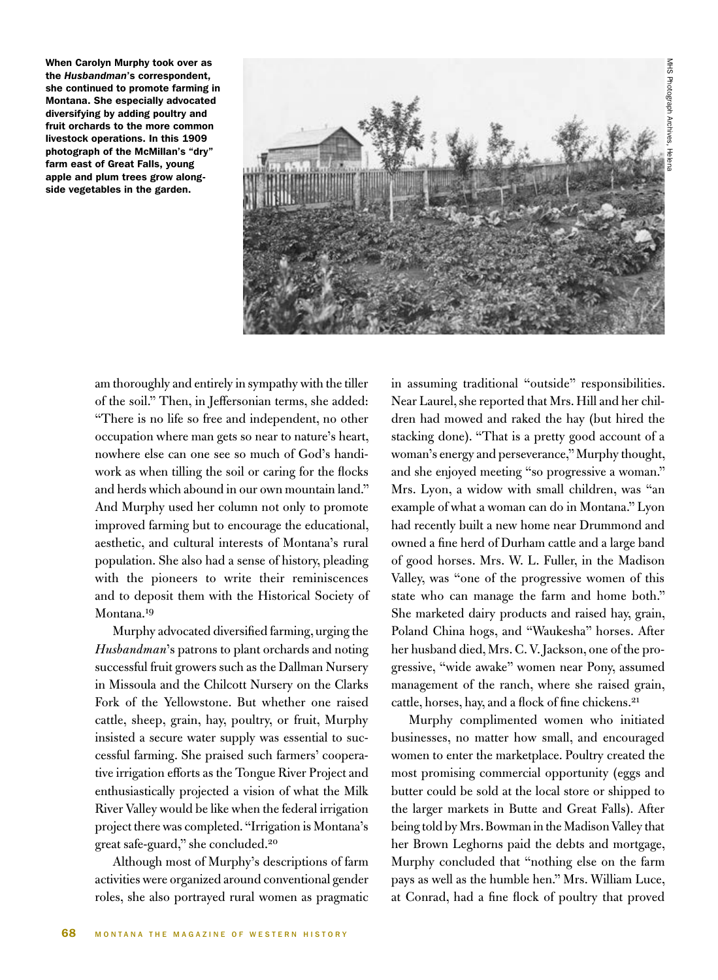When Carolyn Murphy took over as the *Husbandman*'s correspondent, she continued to promote farming in Montana. She especially advocated diversifying by adding poultry and fruit orchards to the more common livestock operations. In this 1909 photograph of the McMillan's "dry" farm east of Great Falls, young apple and plum trees grow alongside vegetables in the garden.



am thoroughly and entirely in sympathy with the tiller of the soil." Then, in Jeffersonian terms, she added: "There is no life so free and independent, no other occupation where man gets so near to nature's heart, nowhere else can one see so much of God's handiwork as when tilling the soil or caring for the flocks and herds which abound in our own mountain land." And Murphy used her column not only to promote improved farming but to encourage the educational, aesthetic, and cultural interests of Montana's rural population. She also had a sense of history, pleading with the pioneers to write their reminiscences and to deposit them with the Historical Society of Montana.<sup>19</sup>

Murphy advocated diversified farming, urging the *Husbandman*'s patrons to plant orchards and noting successful fruit growers such as the Dallman Nursery in Missoula and the Chilcott Nursery on the Clarks Fork of the Yellowstone. But whether one raised cattle, sheep, grain, hay, poultry, or fruit, Murphy insisted a secure water supply was essential to successful farming. She praised such farmers' cooperative irrigation efforts as the Tongue River Project and enthusiastically projected a vision of what the Milk River Valley would be like when the federal irrigation project there was completed. "Irrigation is Montana's great safe-guard," she concluded.20

Although most of Murphy's descriptions of farm activities were organized around conventional gender roles, she also portrayed rural women as pragmatic in assuming traditional "outside" responsibilities. Near Laurel, she reported that Mrs. Hill and her children had mowed and raked the hay (but hired the stacking done). "That is a pretty good account of a woman's energy and perseverance," Murphy thought, and she enjoyed meeting "so progressive a woman." Mrs. Lyon, a widow with small children, was "an example of what a woman can do in Montana." Lyon had recently built a new home near Drummond and owned a fine herd of Durham cattle and a large band of good horses. Mrs. W. L. Fuller, in the Madison Valley, was "one of the progressive women of this state who can manage the farm and home both." She marketed dairy products and raised hay, grain, Poland China hogs, and "Waukesha" horses. After her husband died, Mrs. C. V. Jackson, one of the progressive, "wide awake" women near Pony, assumed management of the ranch, where she raised grain, cattle, horses, hay, and a flock of fine chickens.21

Murphy complimented women who initiated businesses, no matter how small, and encouraged women to enter the marketplace. Poultry created the most promising commercial opportunity (eggs and butter could be sold at the local store or shipped to the larger markets in Butte and Great Falls). After being told by Mrs. Bowman in the Madison Valley that her Brown Leghorns paid the debts and mortgage, Murphy concluded that "nothing else on the farm pays as well as the humble hen." Mrs. William Luce, at Conrad, had a fine flock of poultry that proved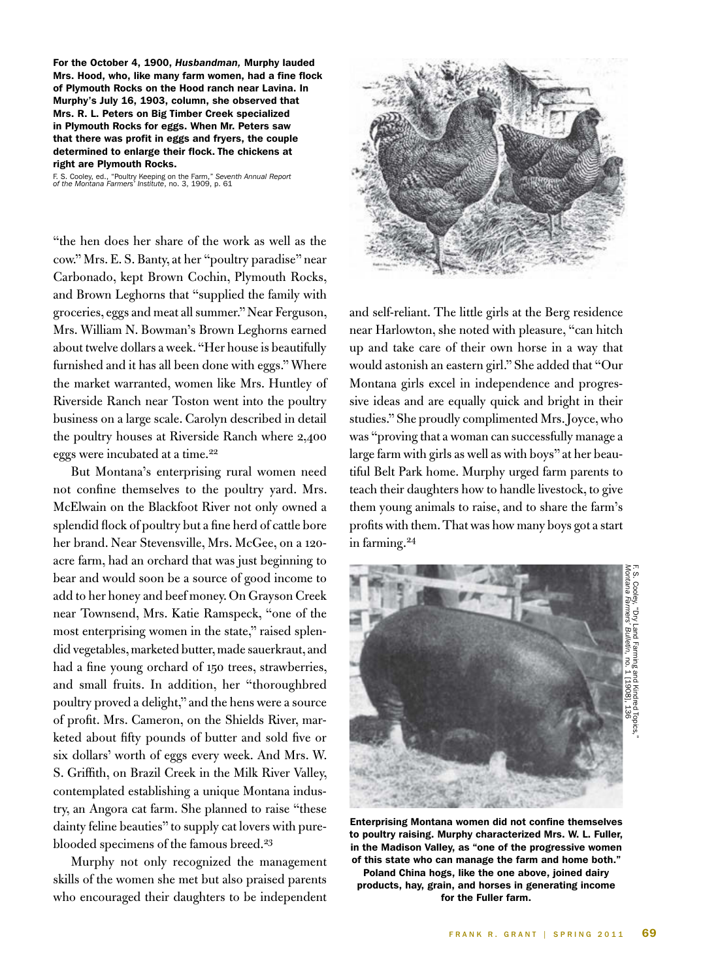For the October 4, 1900, *Husbandman,* Murphy lauded Mrs. Hood, who, like many farm women, had a fine flock of Plymouth Rocks on the Hood ranch near Lavina. In Murphy's July 16, 1903, column, she observed that Mrs. R. L. Peters on Big Timber Creek specialized in Plymouth Rocks for eggs. When Mr. Peters saw that there was profit in eggs and fryers, the couple determined to enlarge their flock. The chickens at right are Plymouth Rocks.

F. S. Cooley, ed., "Poultry Keeping on the Farm," *Seventh Annual Report of the Montana Farmers' Institute*, no. 3, 1909, p. 61

"the hen does her share of the work as well as the cow." Mrs. E. S. Banty, at her "poultry paradise" near Carbonado, kept Brown Cochin, Plymouth Rocks, and Brown Leghorns that "supplied the family with groceries, eggs and meat all summer." Near Ferguson, Mrs. William N. Bowman's Brown Leghorns earned about twelve dollars a week. "Her house is beautifully furnished and it has all been done with eggs." Where the market warranted, women like Mrs. Huntley of Riverside Ranch near Toston went into the poultry business on a large scale. Carolyn described in detail the poultry houses at Riverside Ranch where 2,400 eggs were incubated at a time.<sup>22</sup>

But Montana's enterprising rural women need not confine themselves to the poultry yard. Mrs. McElwain on the Blackfoot River not only owned a splendid flock of poultry but a fine herd of cattle bore her brand. Near Stevensville, Mrs. McGee, on a 120 acre farm, had an orchard that was just beginning to bear and would soon be a source of good income to add to her honey and beef money. On Grayson Creek near Townsend, Mrs. Katie Ramspeck, "one of the most enterprising women in the state," raised splendid vegetables, marketed butter, made sauerkraut, and had a fine young orchard of 150 trees, strawberries, and small fruits. In addition, her "thoroughbred poultry proved a delight," and the hens were a source of profit. Mrs. Cameron, on the Shields River, marketed about fifty pounds of butter and sold five or six dollars' worth of eggs every week. And Mrs. W. S. Griffith, on Brazil Creek in the Milk River Valley, contemplated establishing a unique Montana industry, an Angora cat farm. She planned to raise "these dainty feline beauties" to supply cat lovers with pureblooded specimens of the famous breed.<sup>23</sup>

Murphy not only recognized the management skills of the women she met but also praised parents who encouraged their daughters to be independent



and self-reliant. The little girls at the Berg residence near Harlowton, she noted with pleasure, "can hitch up and take care of their own horse in a way that would astonish an eastern girl." She added that "Our Montana girls excel in independence and progressive ideas and are equally quick and bright in their studies." She proudly complimented Mrs. Joyce, who was "proving that a woman can successfully manage a large farm with girls as well as with boys" at her beautiful Belt Park home. Murphy urged farm parents to teach their daughters how to handle livestock, to give them young animals to raise, and to share the farm's profits with them. That was how many boys got a start in farming.<sup>24</sup>



Enterprising Montana women did not confine themselves to poultry raising. Murphy characterized Mrs. W. L. Fuller, in the Madison Valley, as "one of the progressive women of this state who can manage the farm and home both." Poland China hogs, like the one above, joined dairy products, hay, grain, and horses in generating income for the Fuller farm.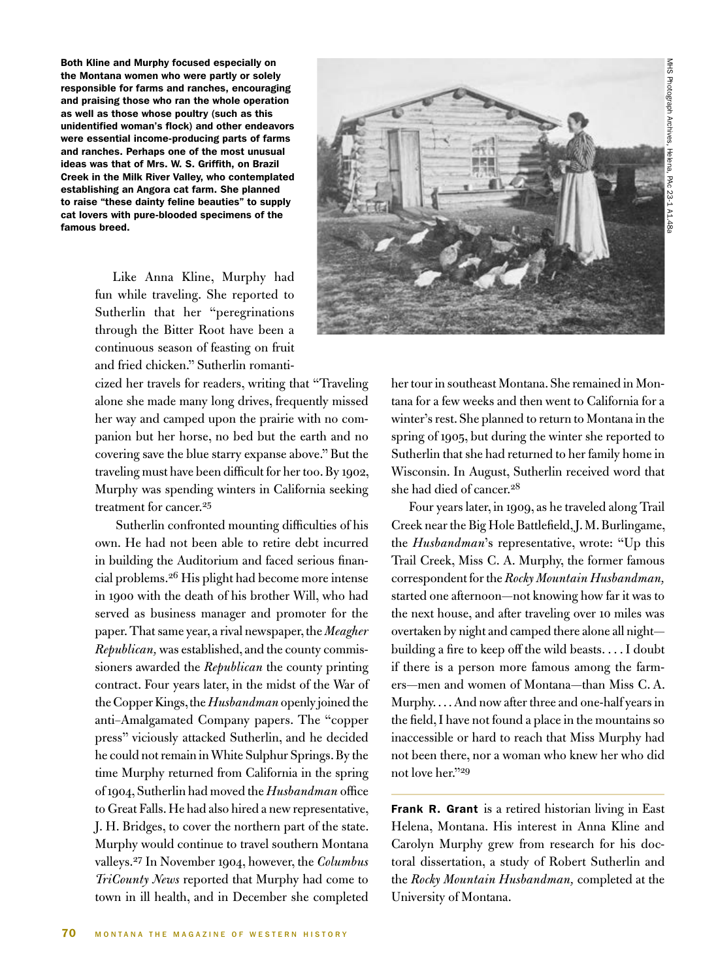Both Kline and Murphy focused especially on the Montana women who were partly or solely responsible for farms and ranches, encouraging and praising those who ran the whole operation as well as those whose poultry (such as this unidentified woman's flock) and other endeavors were essential income-producing parts of farms and ranches. Perhaps one of the most unusual ideas was that of Mrs. W. S. Griffith, on Brazil Creek in the Milk River Valley, who contemplated establishing an Angora cat farm. She planned to raise "these dainty feline beauties" to supply cat lovers with pure-blooded specimens of the famous breed.

> Like Anna Kline, Murphy had fun while traveling. She reported to Sutherlin that her "peregrinations through the Bitter Root have been a continuous season of feasting on fruit and fried chicken." Sutherlin romanti-

cized her travels for readers, writing that "Traveling alone she made many long drives, frequently missed her way and camped upon the prairie with no companion but her horse, no bed but the earth and no covering save the blue starry expanse above." But the traveling must have been difficult for her too. By 1902, Murphy was spending winters in California seeking treatment for cancer.<sup>25</sup>

 Sutherlin confronted mounting difficulties of his own. He had not been able to retire debt incurred in building the Auditorium and faced serious financial problems.26 His plight had become more intense in 1900 with the death of his brother Will, who had served as business manager and promoter for the paper. That same year, a rival newspaper, the *Meagher Republican,* was established, and the county commissioners awarded the *Republican* the county printing contract. Four years later, in the midst of the War of the Copper Kings, the *Husbandman* openly joined the anti–Amalgamated Company papers. The "copper press" viciously attacked Sutherlin, and he decided he could not remain in White Sulphur Springs. By the time Murphy returned from California in the spring of 1904, Sutherlin had moved the *Husbandman* office to Great Falls. He had also hired a new representative, J. H. Bridges, to cover the northern part of the state. Murphy would continue to travel southern Montana valleys.27 In November 1904, however, the *Columbus TriCounty News* reported that Murphy had come to town in ill health, and in December she completed her tour in southeast Montana. She remained in Montana for a few weeks and then went to California for a winter's rest. She planned to return to Montana in the spring of 1905, but during the winter she reported to Sutherlin that she had returned to her family home in Wisconsin. In August, Sutherlin received word that she had died of cancer.<sup>28</sup>

Four years later, in 1909, as he traveled along Trail Creek near the Big Hole Battlefield, J. M. Burlingame, the *Husbandman*'s representative, wrote: "Up this Trail Creek, Miss C. A. Murphy, the former famous correspondent for the *Rocky Mountain Husbandman,* started one afternoon—not knowing how far it was to the next house, and after traveling over 10 miles was overtaken by night and camped there alone all night building a fire to keep off the wild beasts. . . . I doubt if there is a person more famous among the farmers—men and women of Montana—than Miss C. A. Murphy. . . . And now after three and one-half years in the field, I have not found a place in the mountains so inaccessible or hard to reach that Miss Murphy had not been there, nor a woman who knew her who did not love her."29

Frank R. Grant is a retired historian living in East Helena, Montana. His interest in Anna Kline and Carolyn Murphy grew from research for his doctoral dissertation, a study of Robert Sutherlin and the *Rocky Mountain Husbandman,* completed at the University of Montana.